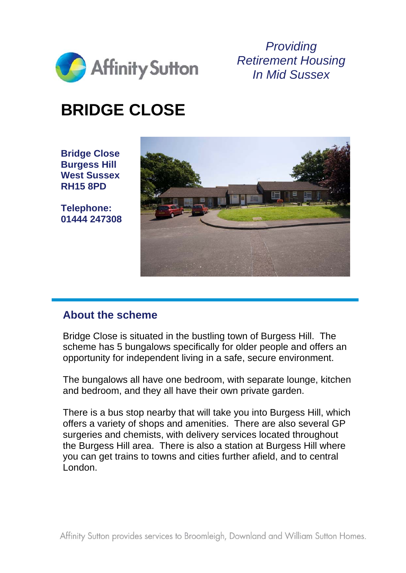

*Providing Retirement Housing In Mid Sussex* 

# **BRIDGE CLOSE**

**Bridge Close Burgess Hill West Sussex RH15 8PD** 

**Telephone: 01444 247308** 



#### **About the scheme**

Bridge Close is situated in the bustling town of Burgess Hill. The scheme has 5 bungalows specifically for older people and offers an opportunity for independent living in a safe, secure environment.

The bungalows all have one bedroom, with separate lounge, kitchen and bedroom, and they all have their own private garden.

There is a bus stop nearby that will take you into Burgess Hill, which offers a variety of shops and amenities. There are also several GP surgeries and chemists, with delivery services located throughout the Burgess Hill area. There is also a station at Burgess Hill where you can get trains to towns and cities further afield, and to central London.